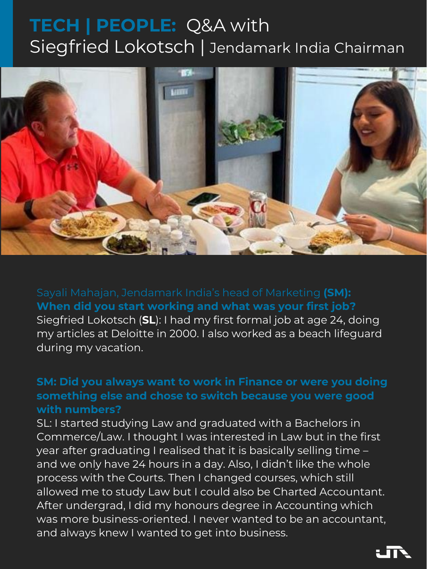Sayali Mahajan, Jendamark India's head of Marketing **(SM): When did you start working and what was your first job?** Siegfried Lokotsch (**SL**): I had my first formal job at age 24, doing

SL: I started studying Law and graduated with a Bachelors in Commerce/Law. I thought I was interested in Law but in the first year after graduating I realised that it is basically selling time – and we only have 24 hours in a day. Also, I didn't like the whole process with the Courts. Then I changed courses, which still allowed me to study Law but I could also be Charted Accountant. After undergrad, I did my honours degree in Accounting which was more business-oriented. I never wanted to be an accountant, and always knew I wanted to get into business.



my articles at Deloitte in 2000. I also worked as a beach lifeguard during my vacation.

**SM: Did you always want to work in Finance or were you doing something else and chose to switch because you were good** 

# **with numbers?**

# **TECH | PEOPLE:** Q&A with Siegfried Lokotsch | Jendamark India Chairman

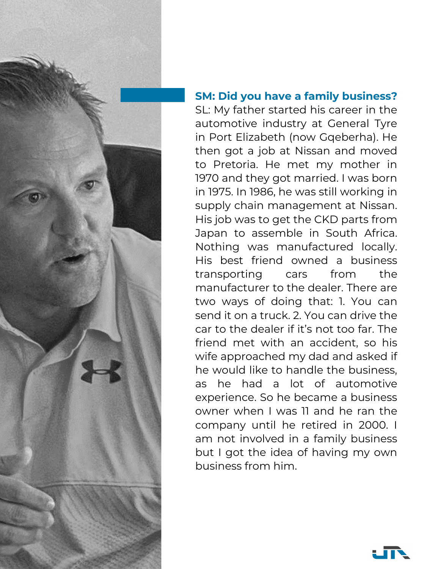

# **SM: Did you have a family business?**

SL: My father started his career in the automotive industry at General Tyre in Port Elizabeth (now Gqeberha). He then got a job at Nissan and moved to Pretoria. He met my mother in 1970 and they got married. I was born in 1975. In 1986, he was still working in supply chain management at Nissan. His job was to get the CKD parts from Japan to assemble in South Africa. Nothing was manufactured locally. His best friend owned a business transporting cars from the manufacturer to the dealer. There are two ways of doing that: 1. You can send it on a truck. 2. You can drive the car to the dealer if it's not too far. The friend met with an accident, so his wife approached my dad and asked if he would like to handle the business, as he had a lot of automotive experience. So he became a business owner when I was 11 and he ran the company until he retired in 2000. I am not involved in a family business but I got the idea of having my own business from him.

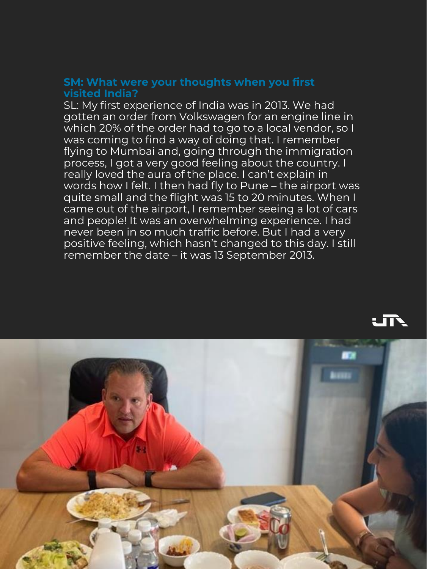#### **SM: What were your thoughts when you first visited India?**

SL: My first experience of India was in 2013. We had gotten an order from Volkswagen for an engine line in which 20% of the order had to go to a local vendor, so I was coming to find a way of doing that. I remember flying to Mumbai and, going through the immigration process, I got a very good feeling about the country. I really loved the aura of the place. I can't explain in words how I felt. I then had fly to Pune – the airport was quite small and the flight was 15 to 20 minutes. When I came out of the airport, I remember seeing a lot of cars and people! It was an overwhelming experience. I had never been in so much traffic before. But I had a very positive feeling, which hasn't changed to this day. I still remember the date – it was 13 September 2013.



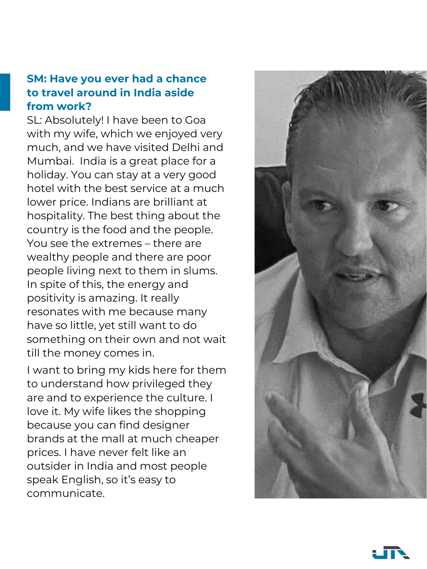#### **SM: Have you ever had a chance to travel around in India aside from work?**

SL: Absolutely! I have been to Goa with my wife, which we enjoyed very much, and we have visited Delhi and Mumbai. India is a great place for a holiday. You can stay at a very good hotel with the best service at a much lower price. Indians are brilliant at hospitality. The best thing about the country is the food and the people. You see the extremes – there are wealthy people and there are poor people living next to them in slums. In spite of this, the energy and positivity is amazing. It really resonates with me because many have so little, yet still want to do something on their own and not wait till the money comes in.

I want to bring my kids here for them to understand how privileged they are and to experience the culture. I love it. My wife likes the shopping because you can find designer brands at the mall at much cheaper prices. I have never felt like an outsider in India and most people speak English, so it's easy to communicate.



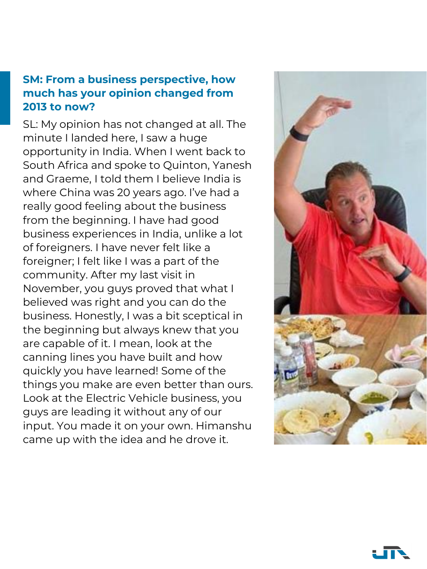## **SM: From a business perspective, how much has your opinion changed from 2013 to now?**

SL: My opinion has not changed at all. The minute I landed here, I saw a huge opportunity in India. When I went back to South Africa and spoke to Quinton, Yanesh and Graeme, I told them I believe India is where China was 20 years ago. I've had a really good feeling about the business from the beginning. I have had good business experiences in India, unlike a lot of foreigners. I have never felt like a foreigner; I felt like I was a part of the community. After my last visit in November, you guys proved that what I believed was right and you can do the business. Honestly, I was a bit sceptical in the beginning but always knew that you are capable of it. I mean, look at the canning lines you have built and how quickly you have learned! Some of the things you make are even better than ours. Look at the Electric Vehicle business, you guys are leading it without any of our input. You made it on your own. Himanshu came up with the idea and he drove it.



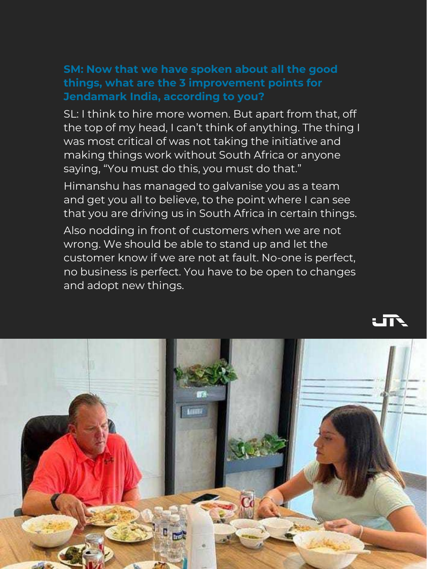# **SM: Now that we have spoken about all the good things, what are the 3 improvement points for Jendamark India, according to you?**

SL: I think to hire more women. But apart from that, off the top of my head, I can't think of anything. The thing I was most critical of was not taking the initiative and making things work without South Africa or anyone saying, "You must do this, you must do that."

Himanshu has managed to galvanise you as a team and get you all to believe, to the point where I can see that you are driving us in South Africa in certain things.

Also nodding in front of customers when we are not wrong. We should be able to stand up and let the customer know if we are not at fault. No-one is perfect, no business is perfect. You have to be open to changes and adopt new things.



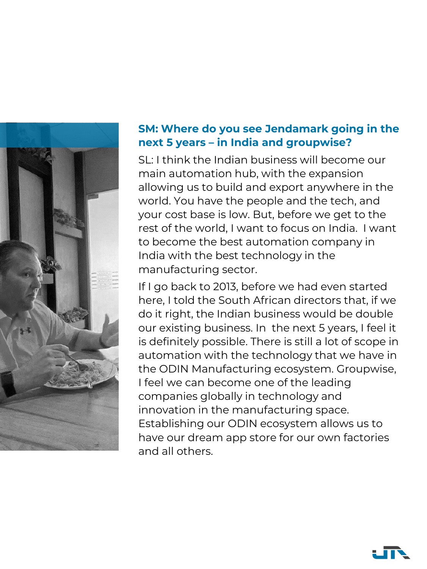

### **SM: Where do you see Jendamark going in the next 5 years – in India and groupwise?**

SL: I think the Indian business will become our main automation hub, with the expansion allowing us to build and export anywhere in the world. You have the people and the tech, and your cost base is low. But, before we get to the rest of the world, I want to focus on India. I want to become the best automation company in India with the best technology in the manufacturing sector.

If I go back to 2013, before we had even started here, I told the South African directors that, if we do it right, the Indian business would be double our existing business. In the next 5 years, I feel it is definitely possible. There is still a lot of scope in automation with the technology that we have in the ODIN Manufacturing ecosystem. Groupwise, I feel we can become one of the leading companies globally in technology and innovation in the manufacturing space. Establishing our ODIN ecosystem allows us to have our dream app store for our own factories and all others.

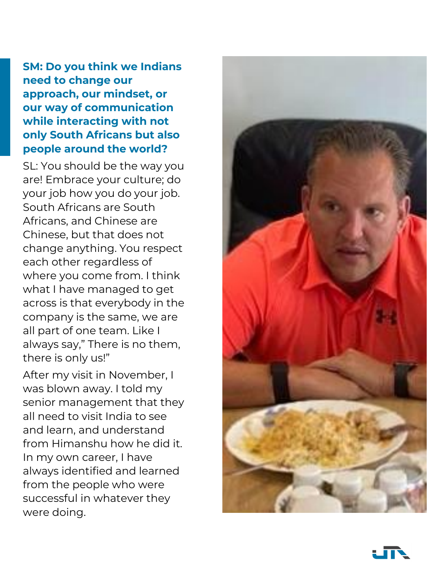**SM: Do you think we Indians need to change our approach, our mindset, or our way of communication while interacting with not only South Africans but also people around the world?** 

SL: You should be the way you are! Embrace your culture; do your job how you do your job. South Africans are South Africans, and Chinese are Chinese, but that does not change anything. You respect each other regardless of where you come from. I think what I have managed to get across is that everybody in the company is the same, we are all part of one team. Like I always say," There is no them, there is only us!"

After my visit in November, I was blown away. I told my



senior management that they all need to visit India to see and learn, and understand from Himanshu how he did it. In my own career, I have always identified and learned from the people who were successful in whatever they were doing.